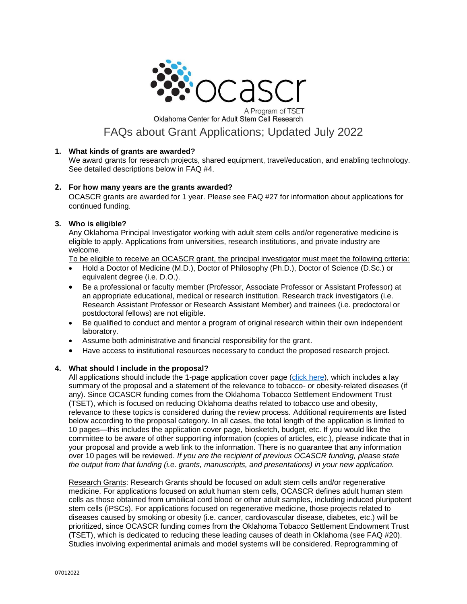

Oklahoma Center for Adult Stem Cell Research

# FAQs about Grant Applications; Updated July 2022

# **1. What kinds of grants are awarded?**

We award grants for research projects, shared equipment, travel/education, and enabling technology. See detailed descriptions below in FAQ #4.

# **2. For how many years are the grants awarded?**

OCASCR grants are awarded for 1 year. Please see FAQ #27 for information about applications for continued funding.

# **3. Who is eligible?**

Any Oklahoma Principal Investigator working with adult stem cells and/or regenerative medicine is eligible to apply. Applications from universities, research institutions, and private industry are welcome.

To be eligible to receive an OCASCR grant, the principal investigator must meet the following criteria:

- Hold a Doctor of Medicine (M.D.), Doctor of Philosophy (Ph.D.), Doctor of Science (D.Sc.) or equivalent degree (i.e. D.O.).
- Be a professional or faculty member (Professor, Associate Professor or Assistant Professor) at an appropriate educational, medical or research institution. Research track investigators (i.e. Research Assistant Professor or Research Assistant Member) and trainees (i.e. predoctoral or postdoctoral fellows) are not eligible.
- Be qualified to conduct and mentor a program of original research within their own independent laboratory.
- Assume both administrative and financial responsibility for the grant.
- Have access to institutional resources necessary to conduct the proposed research project.

# **4. What should I include in the proposal?**

All applications should include the 1-page application cover page [\(click here\)](http://www.ocascr.org/wp-content/uploads/2022/06/OCASCR-Grant-application-form07012022-1.doc), which includes a lay summary of the proposal and a statement of the relevance to tobacco- or obesity-related diseases (if any). Since OCASCR funding comes from the Oklahoma Tobacco Settlement Endowment Trust (TSET), which is focused on reducing Oklahoma deaths related to tobacco use and obesity, relevance to these topics is considered during the review process. Additional requirements are listed below according to the proposal category. In all cases, the total length of the application is limited to 10 pages—this includes the application cover page, biosketch, budget, etc. If you would like the committee to be aware of other supporting information (copies of articles, etc.), please indicate that in your proposal and provide a web link to the information. There is no guarantee that any information over 10 pages will be reviewed. *If you are the recipient of previous OCASCR funding, please state the output from that funding (i.e. grants, manuscripts, and presentations) in your new application.*

Research Grants: Research Grants should be focused on adult stem cells and/or regenerative medicine. For applications focused on adult human stem cells, OCASCR defines adult human stem cells as those obtained from umbilical cord blood or other adult samples, including induced pluripotent stem cells (iPSCs). For applications focused on regenerative medicine, those projects related to diseases caused by smoking or obesity (i.e. cancer, cardiovascular disease, diabetes, etc.) will be prioritized, since OCASCR funding comes from the Oklahoma Tobacco Settlement Endowment Trust (TSET), which is dedicated to reducing these leading causes of death in Oklahoma (see FAQ #20). Studies involving experimental animals and model systems will be considered. Reprogramming of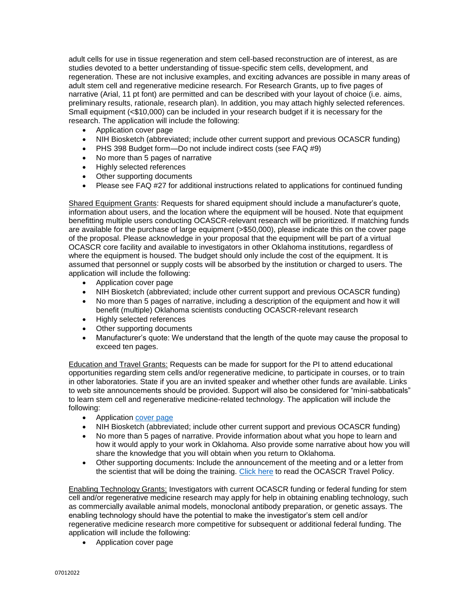adult cells for use in tissue regeneration and stem cell-based reconstruction are of interest, as are studies devoted to a better understanding of tissue-specific stem cells, development, and regeneration. These are not inclusive examples, and exciting advances are possible in many areas of adult stem cell and regenerative medicine research. For Research Grants, up to five pages of narrative (Arial, 11 pt font) are permitted and can be described with your layout of choice (i.e. aims, preliminary results, rationale, research plan). In addition, you may attach highly selected references. Small equipment (<\$10,000) can be included in your research budget if it is necessary for the research. The application will include the following:

- Application cover page
- NIH Biosketch (abbreviated; include other current support and previous OCASCR funding)
- PHS 398 Budget form—Do not include indirect costs (see FAQ #9)
- No more than 5 pages of narrative
- Highly selected references
- Other supporting documents
- Please see FAQ #27 for additional instructions related to applications for continued funding

Shared Equipment Grants: Requests for shared equipment should include a manufacturer's quote, information about users, and the location where the equipment will be housed. Note that equipment benefitting multiple users conducting OCASCR-relevant research will be prioritized. If matching funds are available for the purchase of large equipment (>\$50,000), please indicate this on the cover page of the proposal. Please acknowledge in your proposal that the equipment will be part of a virtual OCASCR core facility and available to investigators in other Oklahoma institutions, regardless of where the equipment is housed. The budget should only include the cost of the equipment. It is assumed that personnel or supply costs will be absorbed by the institution or charged to users. The application will include the following:

- Application cover page
- NIH Biosketch (abbreviated; include other current support and previous OCASCR funding)
- No more than 5 pages of narrative, including a description of the equipment and how it will benefit (multiple) Oklahoma scientists conducting OCASCR-relevant research
- Highly selected references
- Other supporting documents
- Manufacturer's quote: We understand that the length of the quote may cause the proposal to exceed ten pages.

Education and Travel Grants: Requests can be made for support for the PI to attend educational opportunities regarding stem cells and/or regenerative medicine, to participate in courses, or to train in other laboratories. State if you are an invited speaker and whether other funds are available. Links to web site announcements should be provided. Support will also be considered for "mini-sabbaticals" to learn stem cell and regenerative medicine-related technology. The application will include the following:

- Application [cover page](http://www.ocascr.org/wp-content/uploads/2022/06/OCASCR-Grant-application-form07012022-1.doc)
- NIH Biosketch (abbreviated; include other current support and previous OCASCR funding)
- No more than 5 pages of narrative. Provide information about what you hope to learn and how it would apply to your work in Oklahoma. Also provide some narrative about how you will share the knowledge that you will obtain when you return to Oklahoma.
- Other supporting documents: Include the announcement of the meeting and or a letter from the scientist that will be doing the training. [Click](http://www.ocascr.org/grants/information-for-grant-awardees/) here to read the OCASCR Travel Policy.

Enabling Technology Grants: Investigators with current OCASCR funding or federal funding for stem cell and/or regenerative medicine research may apply for help in obtaining enabling technology, such as commercially available animal models, monoclonal antibody preparation, or genetic assays. The enabling technology should have the potential to make the investigator's stem cell and/or regenerative medicine research more competitive for subsequent or additional federal funding. The application will include the following:

• Application cover page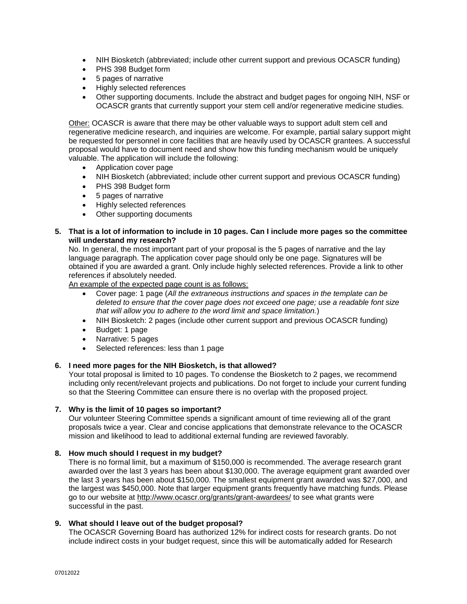- NIH Biosketch (abbreviated; include other current support and previous OCASCR funding)
- PHS 398 Budget form
- 5 pages of narrative
- Highly selected references
- Other supporting documents. Include the abstract and budget pages for ongoing NIH, NSF or OCASCR grants that currently support your stem cell and/or regenerative medicine studies.

Other: OCASCR is aware that there may be other valuable ways to support adult stem cell and regenerative medicine research, and inquiries are welcome. For example, partial salary support might be requested for personnel in core facilities that are heavily used by OCASCR grantees. A successful proposal would have to document need and show how this funding mechanism would be uniquely valuable. The application will include the following:

- Application cover page
- NIH Biosketch (abbreviated; include other current support and previous OCASCR funding)
- PHS 398 Budget form
- 5 pages of narrative
- Highly selected references
- Other supporting documents
- **5. That is a lot of information to include in 10 pages. Can I include more pages so the committee will understand my research?**

No. In general, the most important part of your proposal is the 5 pages of narrative and the lay language paragraph. The application cover page should only be one page. Signatures will be obtained if you are awarded a grant. Only include highly selected references. Provide a link to other references if absolutely needed.

An example of the expected page count is as follows:

- Cover page: 1 page (*All the extraneous instructions and spaces in the template can be deleted to ensure that the cover page does not exceed one page; use a readable font size that will allow you to adhere to the word limit and space limitation.*)
- NIH Biosketch: 2 pages (include other current support and previous OCASCR funding)
- Budget: 1 page
- Narrative: 5 pages
- Selected references: less than 1 page

# **6. I need more pages for the NIH Biosketch, is that allowed?**

Your total proposal is limited to 10 pages. To condense the Biosketch to 2 pages, we recommend including only recent/relevant projects and publications. Do not forget to include your current funding so that the Steering Committee can ensure there is no overlap with the proposed project.

# **7. Why is the limit of 10 pages so important?**

Our volunteer Steering Committee spends a significant amount of time reviewing all of the grant proposals twice a year. Clear and concise applications that demonstrate relevance to the OCASCR mission and likelihood to lead to additional external funding are reviewed favorably.

# **8. How much should I request in my budget?**

There is no formal limit, but a maximum of \$150,000 is recommended. The average research grant awarded over the last 3 years has been about \$130,000. The average equipment grant awarded over the last 3 years has been about \$150,000. The smallest equipment grant awarded was \$27,000, and the largest was \$450,000. Note that larger equipment grants frequently have matching funds. Please go to our website at<http://www.ocascr.org/grants/grant-awardees/> to see what grants were successful in the past.

# **9. What should I leave out of the budget proposal?**

The OCASCR Governing Board has authorized 12% for indirect costs for research grants. Do not include indirect costs in your budget request, since this will be automatically added for Research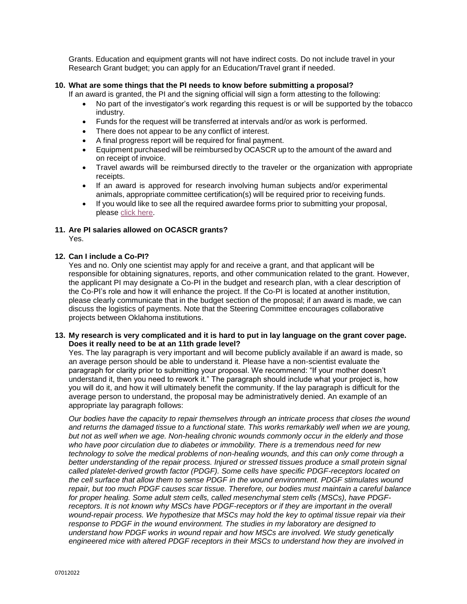Grants. Education and equipment grants will not have indirect costs. Do not include travel in your Research Grant budget; you can apply for an Education/Travel grant if needed.

# **10. What are some things that the PI needs to know before submitting a proposal?**

If an award is granted, the PI and the signing official will sign a form attesting to the following:

- No part of the investigator's work regarding this request is or will be supported by the tobacco industry.
- Funds for the request will be transferred at intervals and/or as work is performed.
- There does not appear to be any conflict of interest.
- A final progress report will be required for final payment.
- Equipment purchased will be reimbursed by OCASCR up to the amount of the award and on receipt of invoice.
- Travel awards will be reimbursed directly to the traveler or the organization with appropriate receipts.
- If an award is approved for research involving human subjects and/or experimental animals, appropriate committee certification(s) will be required prior to receiving funds.
- If you would like to see all the required awardee forms prior to submitting your proposal, please [click here.](http://www.ocascr.org/grants/information-for-grant-awardees/)

# **11. Are PI salaries allowed on OCASCR grants?**

Yes.

# **12. Can I include a Co-PI?**

Yes and no. Only one scientist may apply for and receive a grant, and that applicant will be responsible for obtaining signatures, reports, and other communication related to the grant. However, the applicant PI may designate a Co-PI in the budget and research plan, with a clear description of the Co-PI's role and how it will enhance the project. If the Co-PI is located at another institution, please clearly communicate that in the budget section of the proposal; if an award is made, we can discuss the logistics of payments. Note that the Steering Committee encourages collaborative projects between Oklahoma institutions.

# **13. My research is very complicated and it is hard to put in lay language on the grant cover page. Does it really need to be at an 11th grade level?**

Yes. The lay paragraph is very important and will become publicly available if an award is made, so an average person should be able to understand it. Please have a non-scientist evaluate the paragraph for clarity prior to submitting your proposal. We recommend: "If your mother doesn't understand it, then you need to rework it." The paragraph should include what your project is, how you will do it, and how it will ultimately benefit the community. If the lay paragraph is difficult for the average person to understand, the proposal may be administratively denied. An example of an appropriate lay paragraph follows:

*Our bodies have the capacity to repair themselves through an intricate process that closes the wound and returns the damaged tissue to a functional state. This works remarkably well when we are young, but not as well when we age. Non-healing chronic wounds commonly occur in the elderly and those who have poor circulation due to diabetes or immobility. There is a tremendous need for new technology to solve the medical problems of non-healing wounds, and this can only come through a better understanding of the repair process. Injured or stressed tissues produce a small protein signal called platelet-derived growth factor (PDGF). Some cells have specific PDGF-receptors located on the cell surface that allow them to sense PDGF in the wound environment. PDGF stimulates wound repair, but too much PDGF causes scar tissue. Therefore, our bodies must maintain a careful balance for proper healing. Some adult stem cells, called mesenchymal stem cells (MSCs), have PDGFreceptors. It is not known why MSCs have PDGF-receptors or if they are important in the overall wound-repair process. We hypothesize that MSCs may hold the key to optimal tissue repair via their response to PDGF in the wound environment. The studies in my laboratory are designed to understand how PDGF works in wound repair and how MSCs are involved. We study genetically engineered mice with altered PDGF receptors in their MSCs to understand how they are involved in*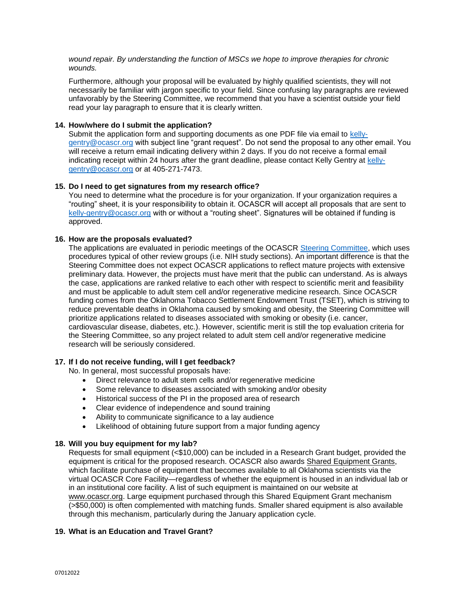*wound repair. By understanding the function of MSCs we hope to improve therapies for chronic wounds.*

Furthermore, although your proposal will be evaluated by highly qualified scientists, they will not necessarily be familiar with jargon specific to your field. Since confusing lay paragraphs are reviewed unfavorably by the Steering Committee, we recommend that you have a scientist outside your field read your lay paragraph to ensure that it is clearly written.

# **14. How/where do I submit the application?**

Submit the application form and supporting documents as one PDF file via email to [kelly](mailto:kelly-gentry@ocascr.org)[gentry@ocascr.org](mailto:kelly-gentry@ocascr.org) with subject line "grant request". Do not send the proposal to any other email. You will receive a return email indicating delivery within 2 days. If you do not receive a formal email indicating receipt within 24 hours after the grant deadline, please contact Kelly Gentry at [kelly](mailto:kelly-gentry@ocascr.org)[gentry@ocascr.org](mailto:kelly-gentry@ocascr.org) or at 405-271-7473.

# **15. Do I need to get signatures from my research office?**

You need to determine what the procedure is for your organization. If your organization requires a "routing" sheet, it is your responsibility to obtain it. OCASCR will accept all proposals that are sent to [kelly-gentry@ocascr.org](mailto:kelly-gentry@ocascr.org) with or without a "routing sheet". Signatures will be obtained if funding is approved.

# **16. How are the proposals evaluated?**

The applications are evaluated in periodic meetings of the OCASCR [Steering Committee,](http://www.ocascr.org/home/steering-committee/) which uses procedures typical of other review groups (i.e. NIH study sections). An important difference is that the Steering Committee does not expect OCASCR applications to reflect mature projects with extensive preliminary data. However, the projects must have merit that the public can understand. As is always the case, applications are ranked relative to each other with respect to scientific merit and feasibility and must be applicable to adult stem cell and/or regenerative medicine research. Since OCASCR funding comes from the Oklahoma Tobacco Settlement Endowment Trust (TSET), which is striving to reduce preventable deaths in Oklahoma caused by smoking and obesity, the Steering Committee will prioritize applications related to diseases associated with smoking or obesity (i.e. cancer, cardiovascular disease, diabetes, etc.). However, scientific merit is still the top evaluation criteria for the Steering Committee, so any project related to adult stem cell and/or regenerative medicine research will be seriously considered.

# **17. If I do not receive funding, will I get feedback?**

No. In general, most successful proposals have:

- Direct relevance to adult stem cells and/or regenerative medicine
- Some relevance to diseases associated with smoking and/or obesity
- Historical success of the PI in the proposed area of research
- Clear evidence of independence and sound training
- Ability to communicate significance to a lay audience
- Likelihood of obtaining future support from a major funding agency

# **18. Will you buy equipment for my lab?**

Requests for small equipment (<\$10,000) can be included in a Research Grant budget, provided the equipment is critical for the proposed research. OCASCR also awards Shared Equipment Grants, which facilitate purchase of equipment that becomes available to all Oklahoma scientists via the virtual OCASCR Core Facility—regardless of whether the equipment is housed in an individual lab or in an institutional core facility. A list of such equipment is maintained on our website at [www.ocascr.org.](http://www.ocascr.org/) Large equipment purchased through this Shared Equipment Grant mechanism (>\$50,000) is often complemented with matching funds. Smaller shared equipment is also available through this mechanism, particularly during the January application cycle.

# **19. What is an Education and Travel Grant?**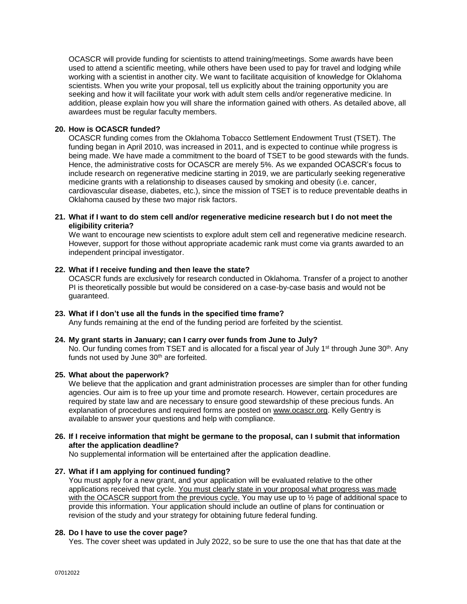OCASCR will provide funding for scientists to attend training/meetings. Some awards have been used to attend a scientific meeting, while others have been used to pay for travel and lodging while working with a scientist in another city. We want to facilitate acquisition of knowledge for Oklahoma scientists. When you write your proposal, tell us explicitly about the training opportunity you are seeking and how it will facilitate your work with adult stem cells and/or regenerative medicine. In addition, please explain how you will share the information gained with others. As detailed above, all awardees must be regular faculty members.

# **20. How is OCASCR funded?**

OCASCR funding comes from the Oklahoma Tobacco Settlement Endowment Trust (TSET). The funding began in April 2010, was increased in 2011, and is expected to continue while progress is being made. We have made a commitment to the board of TSET to be good stewards with the funds. Hence, the administrative costs for OCASCR are merely 5%. As we expanded OCASCR's focus to include research on regenerative medicine starting in 2019, we are particularly seeking regenerative medicine grants with a relationship to diseases caused by smoking and obesity (i.e. cancer, cardiovascular disease, diabetes, etc.), since the mission of TSET is to reduce preventable deaths in Oklahoma caused by these two major risk factors.

#### **21. What if I want to do stem cell and/or regenerative medicine research but I do not meet the eligibility criteria?**

We want to encourage new scientists to explore adult stem cell and regenerative medicine research. However, support for those without appropriate academic rank must come via grants awarded to an independent principal investigator.

#### **22. What if I receive funding and then leave the state?**

OCASCR funds are exclusively for research conducted in Oklahoma. Transfer of a project to another PI is theoretically possible but would be considered on a case-by-case basis and would not be guaranteed.

#### **23. What if I don't use all the funds in the specified time frame?**

Any funds remaining at the end of the funding period are forfeited by the scientist.

# **24. My grant starts in January; can I carry over funds from June to July?**

No. Our funding comes from TSET and is allocated for a fiscal year of July 1<sup>st</sup> through June 30<sup>th</sup>. Any funds not used by June  $30<sup>th</sup>$  are forfeited.

#### **25. What about the paperwork?**

We believe that the application and grant administration processes are simpler than for other funding agencies. Our aim is to free up your time and promote research. However, certain procedures are required by state law and are necessary to ensure good stewardship of these precious funds. An explanation of procedures and required forms are posted on [www.ocascr.org.](http://www.ocascr.org/) Kelly Gentry is available to answer your questions and help with compliance.

# **26. If I receive information that might be germane to the proposal, can I submit that information after the application deadline?**

No supplemental information will be entertained after the application deadline.

# **27. What if I am applying for continued funding?**

You must apply for a new grant, and your application will be evaluated relative to the other applications received that cycle. You must clearly state in your proposal what progress was made with the OCASCR support from the previous cycle. You may use up to  $\frac{1}{2}$  page of additional space to provide this information. Your application should include an outline of plans for continuation or revision of the study and your strategy for obtaining future federal funding.

# **28. Do I have to use the cover page?**

Yes. The cover sheet was updated in July 2022, so be sure to use the one that has that date at the